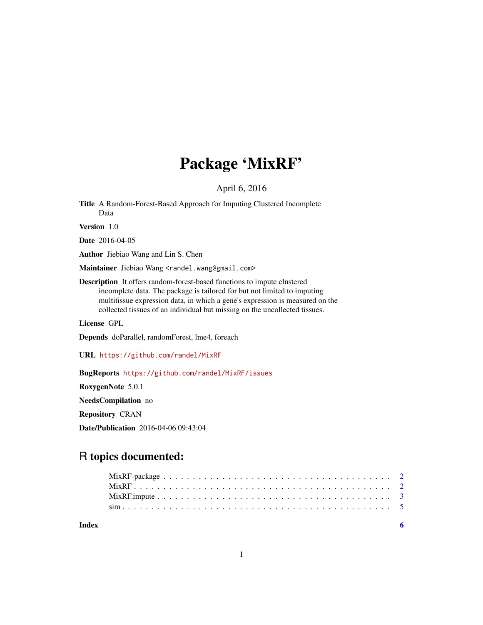# Package 'MixRF'

### April 6, 2016

Title A Random-Forest-Based Approach for Imputing Clustered Incomplete Data

Version 1.0

Date 2016-04-05

Author Jiebiao Wang and Lin S. Chen

Maintainer Jiebiao Wang <randel.wang@gmail.com>

Description It offers random-forest-based functions to impute clustered incomplete data. The package is tailored for but not limited to imputing multitissue expression data, in which a gene's expression is measured on the collected tissues of an individual but missing on the uncollected tissues.

License GPL

Depends doParallel, randomForest, lme4, foreach

URL <https://github.com/randel/MixRF>

BugReports <https://github.com/randel/MixRF/issues>

RoxygenNote 5.0.1

NeedsCompilation no Repository CRAN

Date/Publication 2016-04-06 09:43:04

# R topics documented:

| Index |  |  |  |  |  |  |  |  |  |  |  |  |  |  |  |  |  |  |
|-------|--|--|--|--|--|--|--|--|--|--|--|--|--|--|--|--|--|--|
|       |  |  |  |  |  |  |  |  |  |  |  |  |  |  |  |  |  |  |
|       |  |  |  |  |  |  |  |  |  |  |  |  |  |  |  |  |  |  |
|       |  |  |  |  |  |  |  |  |  |  |  |  |  |  |  |  |  |  |
|       |  |  |  |  |  |  |  |  |  |  |  |  |  |  |  |  |  |  |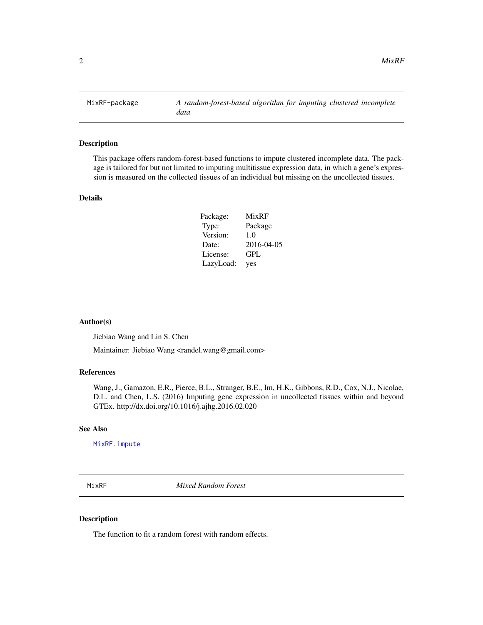<span id="page-1-0"></span>

#### Description

This package offers random-forest-based functions to impute clustered incomplete data. The package is tailored for but not limited to imputing multitissue expression data, in which a gene's expression is measured on the collected tissues of an individual but missing on the uncollected tissues.

#### Details

| Package:  | MixRF      |
|-----------|------------|
| Type:     | Package    |
| Version:  | 1.0        |
| Date:     | 2016-04-05 |
| License:  | GPL        |
| LazyLoad: | yes        |

#### Author(s)

Jiebiao Wang and Lin S. Chen

Maintainer: Jiebiao Wang <randel.wang@gmail.com>

#### References

Wang, J., Gamazon, E.R., Pierce, B.L., Stranger, B.E., Im, H.K., Gibbons, R.D., Cox, N.J., Nicolae, D.L. and Chen, L.S. (2016) Imputing gene expression in uncollected tissues within and beyond GTEx. http://dx.doi.org/10.1016/j.ajhg.2016.02.020

#### See Also

[MixRF.impute](#page-2-1)

MixRF *Mixed Random Forest*

#### Description

The function to fit a random forest with random effects.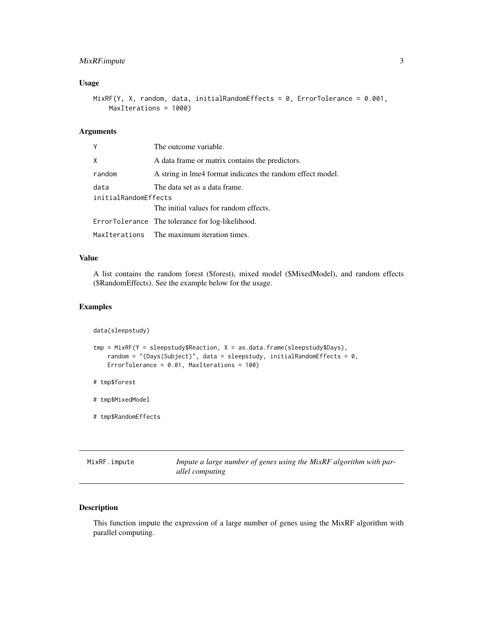#### <span id="page-2-0"></span>MixRF.impute 3

#### Usage

```
MixRF(Y, X, random, data, initialRandomEffects = 0, ErrorTolerance = 0.001,
   MaxIterations = 1000)
```
#### Arguments

| Y                    | The outcome variable.                                      |  |  |  |  |
|----------------------|------------------------------------------------------------|--|--|--|--|
| X                    | A data frame or matrix contains the predictors.            |  |  |  |  |
| random               | A string in lme4 format indicates the random effect model. |  |  |  |  |
| data                 | The data set as a data frame.                              |  |  |  |  |
| initialRandomEffects |                                                            |  |  |  |  |
|                      | The initial values for random effects.                     |  |  |  |  |
|                      | ErrorTolerance The tolerance for log-likelihood.           |  |  |  |  |
|                      | MaxIterations The maximum iteration times.                 |  |  |  |  |

#### Value

A list contains the random forest (\$forest), mixed model (\$MixedModel), and random effects (\$RandomEffects). See the example below for the usage.

#### Examples

data(sleepstudy)

```
tmp = MixRF(Y = sleepstudy\$Reaction, X = as.data-frame(sleepstudy\$Days),random = "(Days|Subject)", data = sleepstudy, initialRandomEffects = 0,
   ErrorTolerance = 0.01, MaxIterations = 100)
```
- # tmp\$forest
- # tmp\$MixedModel
- # tmp\$RandomEffects

<span id="page-2-1"></span>

| MixRF.impute | Impute a large number of genes using the MixRF algorithm with par- |
|--------------|--------------------------------------------------------------------|
|              | allel computing                                                    |

#### Description

This function impute the expression of a large number of genes using the MixRF algorithm with parallel computing.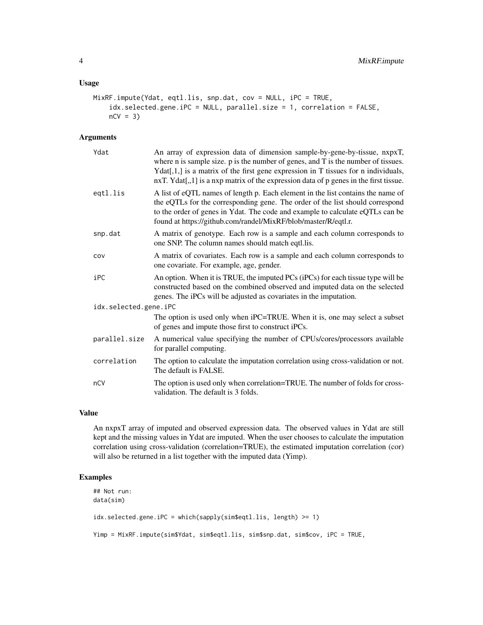#### Usage

```
MixRF.impute(Ydat, eqtl.lis, snp.dat, cov = NULL, iPC = TRUE,
    idx.selected.gene.iPC = NULL, parallel.size = 1, correlation = FALSE,
    nCV = 3)
```
#### Arguments

| Ydat                  | An array of expression data of dimension sample-by-gene-by-tissue, nxpxT,<br>where $n$ is sample size. $p$ is the number of genes, and $T$ is the number of tissues.<br>$Ydat[1,1]$ is a matrix of the first gene expression in T tissues for n individuals,<br>$nxT. Ydat[, 1]$ is a nxp matrix of the expression data of p genes in the first tissue. |
|-----------------------|---------------------------------------------------------------------------------------------------------------------------------------------------------------------------------------------------------------------------------------------------------------------------------------------------------------------------------------------------------|
| eqtl.lis              | A list of eQTL names of length p. Each element in the list contains the name of<br>the eQTLs for the corresponding gene. The order of the list should correspond<br>to the order of genes in Ydat. The code and example to calculate eQTLs can be<br>found at https://github.com/randel/MixRF/blob/master/R/eqtl.r.                                     |
| snp.dat               | A matrix of genotype. Each row is a sample and each column corresponds to<br>one SNP. The column names should match eqtl.lis.                                                                                                                                                                                                                           |
| COV                   | A matrix of covariates. Each row is a sample and each column corresponds to<br>one covariate. For example, age, gender.                                                                                                                                                                                                                                 |
| iPC                   | An option. When it is TRUE, the imputed PCs (iPCs) for each tissue type will be<br>constructed based on the combined observed and imputed data on the selected<br>genes. The iPCs will be adjusted as covariates in the imputation.                                                                                                                     |
| idx.selected.gene.iPC |                                                                                                                                                                                                                                                                                                                                                         |
|                       | The option is used only when iPC=TRUE. When it is, one may select a subset<br>of genes and impute those first to construct iPCs.                                                                                                                                                                                                                        |
| parallel.size         | A numerical value specifying the number of CPUs/cores/processors available<br>for parallel computing.                                                                                                                                                                                                                                                   |
| correlation           | The option to calculate the imputation correlation using cross-validation or not.<br>The default is FALSE.                                                                                                                                                                                                                                              |
| nCV                   | The option is used only when correlation=TRUE. The number of folds for cross-<br>validation. The default is 3 folds.                                                                                                                                                                                                                                    |

#### Value

An nxpxT array of imputed and observed expression data. The observed values in Ydat are still kept and the missing values in Ydat are imputed. When the user chooses to calculate the imputation correlation using cross-validation (correlation=TRUE), the estimated imputation correlation (cor) will also be returned in a list together with the imputed data (Yimp).

#### Examples

```
## Not run:
data(sim)
idx.selected.gene.iPC = which(sapply(sim$eqtl.lis, length) >= 1)
Yimp = MixRF.impute(sim$Ydat, sim$eqtl.lis, sim$snp.dat, sim$cov, iPC = TRUE,
```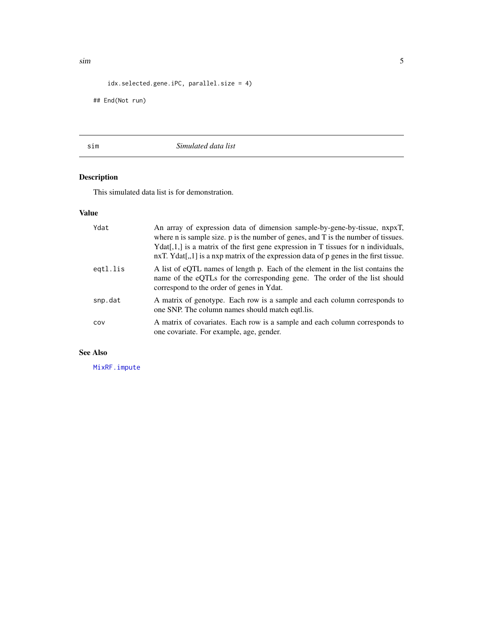```
idx.selected.gene.iPC, parallel.size = 4)
```
## End(Not run)

sim *Simulated data list*

## Description

This simulated data list is for demonstration.

#### Value

| Ydat     | An array of expression data of dimension sample-by-gene-by-tissue, nxpxT,<br>where $n$ is sample size. $p$ is the number of genes, and $T$ is the number of tissues.<br>$Ydat[1,1]$ is a matrix of the first gene expression in T tissues for n individuals,<br>$nxT. Ydat[, 1]$ is a nxp matrix of the expression data of p genes in the first tissue. |
|----------|---------------------------------------------------------------------------------------------------------------------------------------------------------------------------------------------------------------------------------------------------------------------------------------------------------------------------------------------------------|
| egtl.lis | A list of eQTL names of length p. Each of the element in the list contains the<br>name of the eQTLs for the corresponding gene. The order of the list should<br>correspond to the order of genes in Ydat.                                                                                                                                               |
| snp.dat  | A matrix of genotype. Each row is a sample and each column corresponds to<br>one SNP. The column names should match eqtl. lis.                                                                                                                                                                                                                          |
| COV      | A matrix of covariates. Each row is a sample and each column corresponds to<br>one covariate. For example, age, gender.                                                                                                                                                                                                                                 |

#### See Also

[MixRF.impute](#page-2-1)